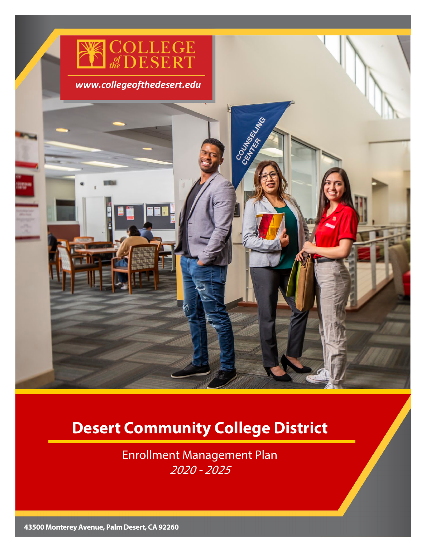

# **Desert Community College District**

Enrollment Management Plan 2020 - 2025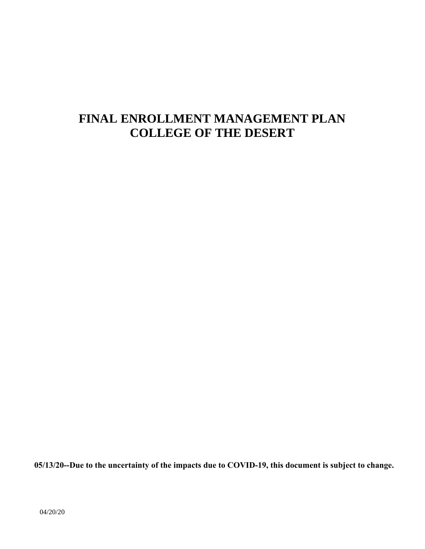# **FINAL ENROLLMENT MANAGEMENT PLAN COLLEGE OF THE DESERT**

**05/13/20--Due to the uncertainty of the impacts due to COVID-19, this document is subject to change.**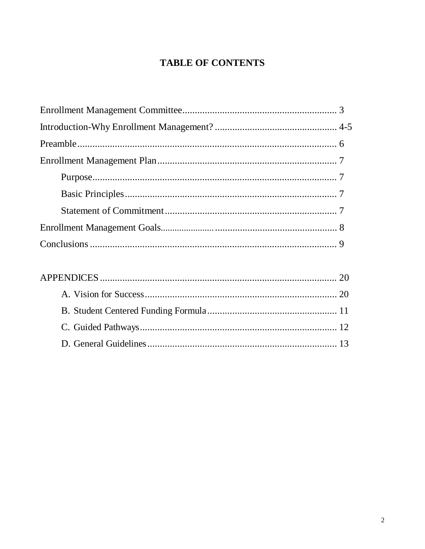# **TABLE OF CONTENTS**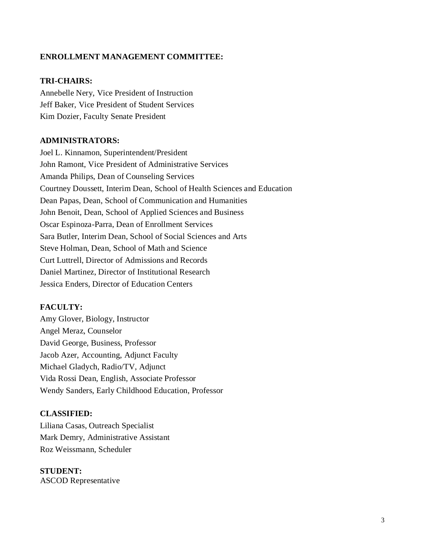### **ENROLLMENT MANAGEMENT COMMITTEE:**

### **TRI-CHAIRS:**

Annebelle Nery, Vice President of Instruction Jeff Baker, Vice President of Student Services Kim Dozier, Faculty Senate President

#### **ADMINISTRATORS:**

Joel L. Kinnamon, Superintendent/President John Ramont, Vice President of Administrative Services Amanda Philips, Dean of Counseling Services Courtney Doussett, Interim Dean, School of Health Sciences and Education Dean Papas, Dean, School of Communication and Humanities John Benoit, Dean, School of Applied Sciences and Business Oscar Espinoza-Parra, Dean of Enrollment Services Sara Butler, Interim Dean, School of Social Sciences and Arts Steve Holman, Dean, School of Math and Science Curt Luttrell, Director of Admissions and Records Daniel Martinez, Director of Institutional Research Jessica Enders, Director of Education Centers

#### **FACULTY:**

Amy Glover, Biology, Instructor Angel Meraz, Counselor David George, Business, Professor Jacob Azer, Accounting, Adjunct Faculty Michael Gladych, Radio/TV, Adjunct Vida Rossi Dean, English, Associate Professor Wendy Sanders, Early Childhood Education, Professor

#### **CLASSIFIED:**

Liliana Casas, Outreach Specialist Mark Demry, Administrative Assistant Roz Weissmann, Scheduler

 **STUDENT:** ASCOD Representative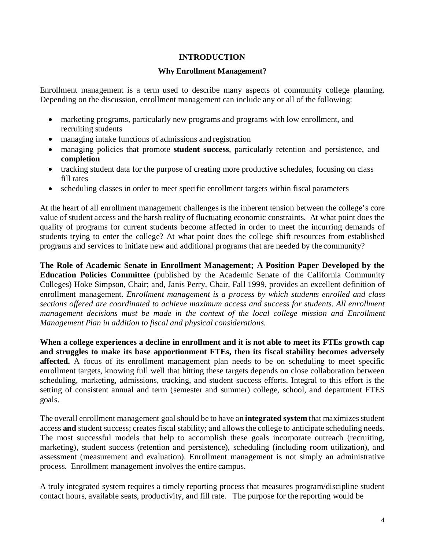### **INTRODUCTION**

#### **Why Enrollment Management?**

Enrollment management is a term used to describe many aspects of community college planning. Depending on the discussion, enrollment management can include any or all of the following:

- marketing programs, particularly new programs and programs with low enrollment, and recruiting students
- managing intake functions of admissions and registration
- managing policies that promote **student success**, particularly retention and persistence, and **completion**
- tracking student data for the purpose of creating more productive schedules, focusing on class fill rates
- scheduling classes in order to meet specific enrollment targets within fiscal parameters

At the heart of all enrollment management challenges is the inherent tension between the college's core value of student access and the harsh reality of fluctuating economic constraints. At what point does the quality of programs for current students become affected in order to meet the incurring demands of students trying to enter the college? At what point does the college shift resources from established programs and services to initiate new and additional programs that are needed by the community?

**The Role of Academic Senate in Enrollment Management; A Position Paper Developed by the Education Policies Committee** (published by the Academic Senate of the California Community Colleges) Hoke Simpson, Chair; and, Janis Perry, Chair, Fall 1999, provides an excellent definition of enrollment management. *Enrollment management is a process by which students enrolled and class sections offered are coordinated to achieve maximum access and success for students. All enrollment management decisions must be made in the context of the local college mission and Enrollment Management Plan in addition to fiscal and physical considerations.*

**When a college experiences a decline in enrollment and it is not able to meet its FTEs growth cap and struggles to make its base apportionment FTEs, then its fiscal stability becomes adversely affected.** A focus of its enrollment management plan needs to be on scheduling to meet specific enrollment targets, knowing full well that hitting these targets depends on close collaboration between scheduling, marketing, admissions, tracking, and student success efforts. Integral to this effort is the setting of consistent annual and term (semester and summer) college, school, and department FTES goals.

The overall enrollment management goal should be to have an **integrated system** that maximizes student access **and** student success; creates fiscal stability; and allowsthe college to anticipate scheduling needs. The most successful models that help to accomplish these goals incorporate outreach (recruiting, marketing), student success (retention and persistence), scheduling (including room utilization), and assessment (measurement and evaluation). Enrollment management is not simply an administrative process. Enrollment management involves the entire campus.

A truly integrated system requires a timely reporting process that measures program/discipline student contact hours, available seats, productivity, and fill rate. The purpose for the reporting would be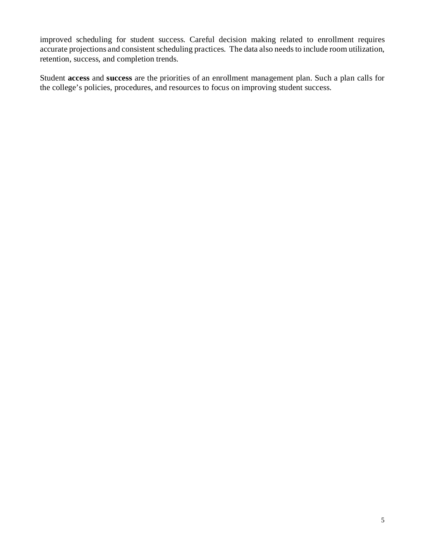improved scheduling for student success. Careful decision making related to enrollment requires accurate projections and consistent scheduling practices. The data also needs to include room utilization, retention, success, and completion trends.

Student **access** and **success** are the priorities of an enrollment management plan. Such a plan calls for the college's policies, procedures, and resources to focus on improving student success.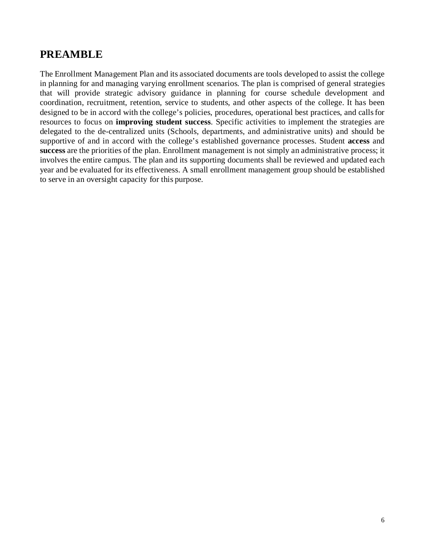# **PREAMBLE**

The Enrollment Management Plan and its associated documents are tools developed to assist the college in planning for and managing varying enrollment scenarios. The plan is comprised of general strategies that will provide strategic advisory guidance in planning for course schedule development and coordination, recruitment, retention, service to students, and other aspects of the college. It has been designed to be in accord with the college's policies, procedures, operational best practices, and callsfor resources to focus on **improving student success**. Specific activities to implement the strategies are delegated to the de-centralized units (Schools, departments, and administrative units) and should be supportive of and in accord with the college's established governance processes. Student **access** and **success** are the priorities of the plan. Enrollment management is not simply an administrative process; it involves the entire campus. The plan and its supporting documents shall be reviewed and updated each year and be evaluated for its effectiveness. A small enrollment management group should be established to serve in an oversight capacity for this purpose.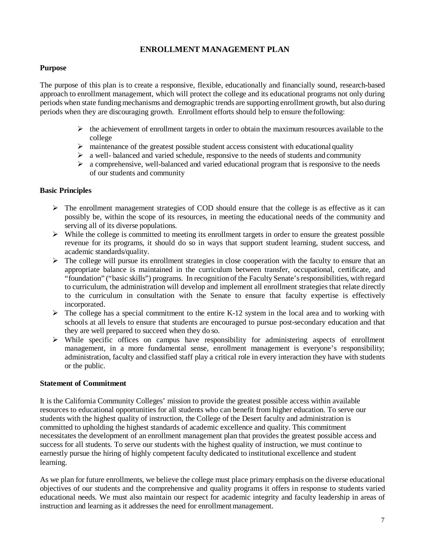### **ENROLLMENT MANAGEMENT PLAN**

#### **Purpose**

The purpose of this plan is to create a responsive, flexible, educationally and financially sound, research-based approach to enrollment management, which will protect the college and its educational programs not only during periods when state funding mechanisms and demographic trends are supporting enrollment growth, but also during periods when they are discouraging growth. Enrollment efforts should help to ensure thefollowing:

- $\triangleright$  the achievement of enrollment targets in order to obtain the maximum resources available to the college
- $\triangleright$  maintenance of the greatest possible student access consistent with educational quality
- $\triangleright$  a well-balanced and varied schedule, responsive to the needs of students and community
- $\triangleright$  a comprehensive, well-balanced and varied educational program that is responsive to the needs of our students and community

#### **Basic Principles**

- $\triangleright$  The enrollment management strategies of COD should ensure that the college is as effective as it can possibly be, within the scope of its resources, in meeting the educational needs of the community and serving all of its diverse populations.
- $\triangleright$  While the college is committed to meeting its enrollment targets in order to ensure the greatest possible revenue for its programs, it should do so in ways that support student learning, student success, and academic standards/quality.
- $\triangleright$  The college will pursue its enrollment strategies in close cooperation with the faculty to ensure that an appropriate balance is maintained in the curriculum between transfer, occupational, certificate, and "foundation" ("basic skills") programs. In recognition of the Faculty Senate's responsibilities, with regard to curriculum, the administration will develop and implement all enrollment strategiesthat relate directly to the curriculum in consultation with the Senate to ensure that faculty expertise is effectively incorporated.
- $\triangleright$  The college has a special commitment to the entire K-12 system in the local area and to working with schools at all levels to ensure that students are encouraged to pursue post-secondary education and that they are well prepared to succeed when they do so.
- $\triangleright$  While specific offices on campus have responsibility for administering aspects of enrollment management, in a more fundamental sense, enrollment management is everyone's responsibility; administration, faculty and classified staff play a critical role in every interaction they have with students or the public.

#### **Statement of Commitment**

It is the California Community Colleges' mission to provide the greatest possible access within available resources to educational opportunities for all students who can benefit from higher education. To serve our students with the highest quality of instruction, the College of the Desert faculty and administration is committed to upholding the highest standards of academic excellence and quality. This commitment necessitates the development of an enrollment management plan that provides the greatest possible access and success for all students. To serve our students with the highest quality of instruction, we must continue to earnestly pursue the hiring of highly competent faculty dedicated to institutional excellence and student learning.

As we plan for future enrollments, we believe the college must place primary emphasis on the diverse educational objectives of our students and the comprehensive and quality programs it offers in response to students varied educational needs. We must also maintain our respect for academic integrity and faculty leadership in areas of instruction and learning as it addresses the need for enrollment management.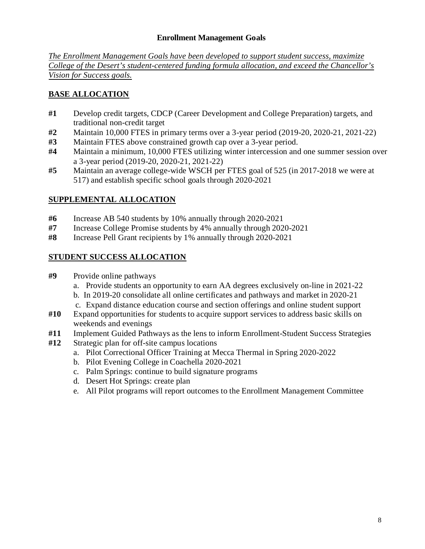### **Enrollment Management Goals**

*The Enrollment Management Goals have been developed to support student success, maximize College of the Desert's student-centered funding formula allocation, and exceed the Chancellor's Vision for Success goals.*

# **BASE ALLOCATION**

- **#1** Develop credit targets, CDCP (Career Development and College Preparation) targets, and traditional non-credit target
- **#2** Maintain 10,000 FTES in primary terms over a 3-year period (2019-20, 2020-21, 2021-22)
- **#3** Maintain FTES above constrained growth cap over a 3-year period.
- **#4** Maintain a minimum, 10,000 FTES utilizing winter intercession and one summer session over a 3-year period (2019-20, 2020-21, 2021-22)
- **#5** Maintain an average college-wide WSCH per FTES goal of 525 (in 2017-2018 we were at 517) and establish specific school goals through 2020-2021

### **SUPPLEMENTAL ALLOCATION**

- **#6** Increase AB 540 students by 10% annually through 2020-2021
- **#7** Increase College Promise students by 4% annually through 2020-2021
- **#8** Increase Pell Grant recipients by 1% annually through 2020-2021

## **STUDENT SUCCESS ALLOCATION**

- **#9** Provide online pathways
	- a. Provide students an opportunity to earn AA degrees exclusively on-line in 2021-22
	- b. In 2019-20 consolidate all online certificates and pathways and market in 2020-21
	- c. Expand distance education course and section offerings and online student support
- **#10** Expand opportunities for students to acquire support services to address basic skills on weekends and evenings
- **#11** Implement Guided Pathways as the lens to inform Enrollment-Student Success Strategies
- **#12** Strategic plan for off-site campus locations
	- a. Pilot Correctional Officer Training at Mecca Thermal in Spring 2020-2022
	- b. Pilot Evening College in Coachella 2020-2021
	- c. Palm Springs: continue to build signature programs
	- d. Desert Hot Springs: create plan
	- e. All Pilot programs will report outcomes to the Enrollment Management Committee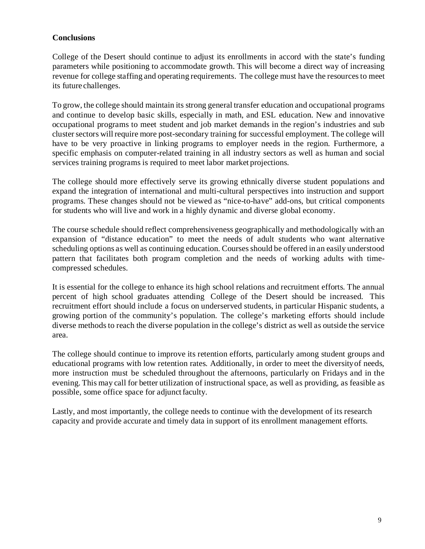### **Conclusions**

College of the Desert should continue to adjust its enrollments in accord with the state's funding parameters while positioning to accommodate growth. This will become a direct way of increasing revenue for college staffing and operating requirements. The college must have the resources to meet its future challenges.

To grow, the college should maintain its strong general transfer education and occupational programs and continue to develop basic skills, especially in math, and ESL education. New and innovative occupational programs to meet student and job market demands in the region's industries and sub cluster sectors will require more post-secondary training for successful employment. The college will have to be very proactive in linking programs to employer needs in the region. Furthermore, a specific emphasis on computer-related training in all industry sectors as well as human and social services training programs is required to meet labor market projections.

The college should more effectively serve its growing ethnically diverse student populations and expand the integration of international and multi-cultural perspectives into instruction and support programs. These changes should not be viewed as "nice-to-have" add-ons, but critical components for students who will live and work in a highly dynamic and diverse global economy.

The course schedule should reflect comprehensiveness geographically and methodologically with an expansion of "distance education" to meet the needs of adult students who want alternative scheduling options as well as continuing education. Courses should be offered in an easily understood pattern that facilitates both program completion and the needs of working adults with timecompressed schedules.

It is essential for the college to enhance its high school relations and recruitment efforts. The annual percent of high school graduates attending College of the Desert should be increased. This recruitment effort should include a focus on underserved students, in particular Hispanic students, a growing portion of the community's population. The college's marketing efforts should include diverse methods to reach the diverse population in the college's district as well as outside the service area.

The college should continue to improve its retention efforts, particularly among student groups and educational programs with low retention rates. Additionally, in order to meet the diversityof needs, more instruction must be scheduled throughout the afternoons, particularly on Fridays and in the evening. This may call for better utilization of instructional space, as well as providing, as feasible as possible, some office space for adjunct faculty.

Lastly, and most importantly, the college needs to continue with the development of its research capacity and provide accurate and timely data in support of its enrollment management efforts.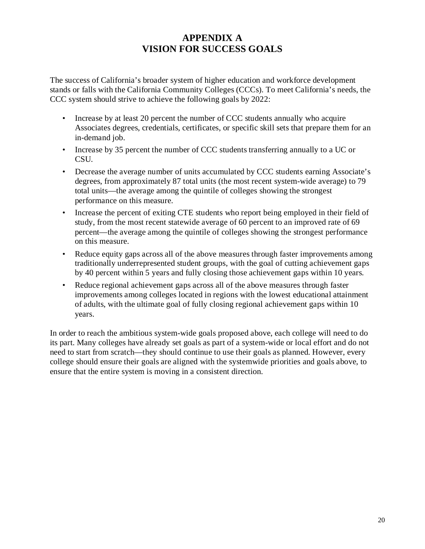# **APPENDIX A VISION FOR SUCCESS GOALS**

The success of California's broader system of higher education and workforce development stands or falls with the California Community Colleges (CCCs). To meet California's needs, the CCC system should strive to achieve the following goals by 2022:

- Increase by at least 20 percent the number of CCC students annually who acquire Associates degrees, credentials, certificates, or specific skill sets that prepare them for an in-demand job.
- Increase by 35 percent the number of CCC students transferring annually to a UC or CSU.
- Decrease the average number of units accumulated by CCC students earning Associate's degrees, from approximately 87 total units (the most recent system-wide average) to 79 total units—the average among the quintile of colleges showing the strongest performance on this measure.
- Increase the percent of exiting CTE students who report being employed in their field of study, from the most recent statewide average of 60 percent to an improved rate of 69 percent—the average among the quintile of colleges showing the strongest performance on this measure.
- Reduce equity gaps across all of the above measures through faster improvements among traditionally underrepresented student groups, with the goal of cutting achievement gaps by 40 percent within 5 years and fully closing those achievement gaps within 10 years.
- Reduce regional achievement gaps across all of the above measures through faster improvements among colleges located in regions with the lowest educational attainment of adults, with the ultimate goal of fully closing regional achievement gaps within 10 years.

In order to reach the ambitious system-wide goals proposed above, each college will need to do its part. Many colleges have already set goals as part of a system-wide or local effort and do not need to start from scratch—they should continue to use their goals as planned. However, every college should ensure their goals are aligned with the systemwide priorities and goals above, to ensure that the entire system is moving in a consistent direction.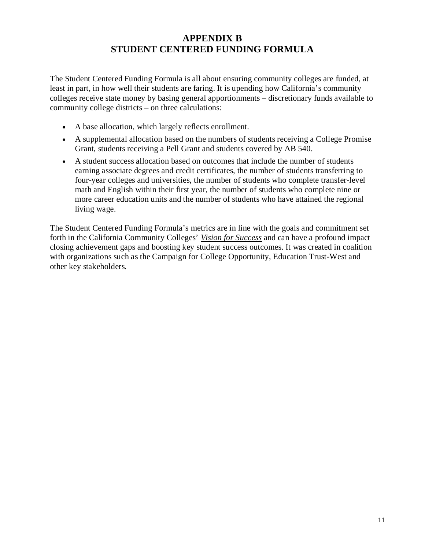# **APPENDIX B STUDENT CENTERED FUNDING FORMULA**

The Student Centered Funding Formula is all about ensuring community colleges are funded, at least in part, in how well their students are faring. It is upending how California's community colleges receive state money by basing general apportionments – discretionary funds available to community college districts – on three calculations:

- A base allocation, which largely reflects enrollment.
- A supplemental allocation based on the numbers of students receiving a College Promise Grant, students receiving a Pell Grant and students covered by AB 540.
- A student success allocation based on outcomes that include the number of students earning associate degrees and credit certificates, the number of students transferring to four-year colleges and universities, the number of students who complete transfer-level math and English within their first year, the number of students who complete nine or more career education units and the number of students who have attained the regional living wage.

The Student Centered Funding Formula's metrics are in line with the goals and commitment set forth in the California Community Colleges' *[Vision for Success](https://vision.foundationccc.org/)* and can have a profound impact closing achievement gaps and boosting key student success outcomes. It was created in coalition with organizations such as the Campaign for College Opportunity, Education Trust-West and other key stakeholders.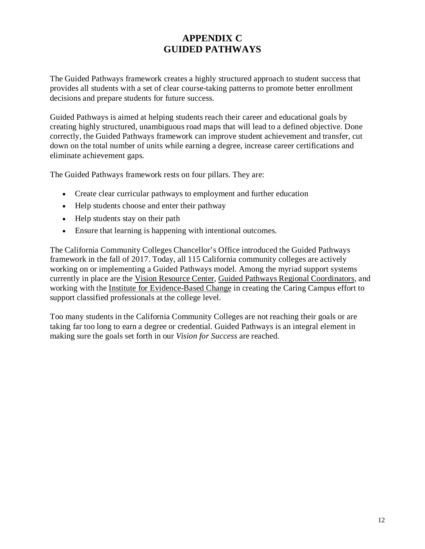# **APPENDIX C GUIDED PATHWAYS**

The Guided Pathways framework creates a highly structured approach to student success that provides all students with a set of clear course-taking patterns to promote better enrollment decisions and prepare students for future success.

Guided Pathways is aimed at helping students reach their career and educational goals by creating highly structured, unambiguous road maps that will lead to a defined objective. Done correctly, the Guided Pathways framework can improve student achievement and transfer, cut down on the total number of units while earning a degree, increase career certifications and eliminate achievement gaps.

The Guided Pathways framework rests on four pillars. They are:

- Create clear curricular pathways to employment and further education
- Help students choose and enter their pathway
- Help students stay on their path
- Ensure that learning is happening with intentional outcomes.

The California Community Colleges Chancellor's Office introduced the Guided Pathways framework in the fall of 2017. Today, all 115 California community colleges are actively working on or implementing a Guided Pathways model. Among the myriad support systems currently in place are the [Vision Resource Center,](https://visionresourcecenter.cccco.edu/) [Guided Pathways Regional Coordinators,](https://cccgp.cccco.edu/coordinators-map) and working with the [Institute for Evidence-Based Change](http://www.iebcnow.org/) in creating the Caring Campus effort to support classified professionals at the college level.

Too many students in the California Community Colleges are not reaching their goals or are taking far too long to earn a degree or credential. Guided Pathways is an integral element in making sure the goals set forth in our *Vision for Success* are reached.